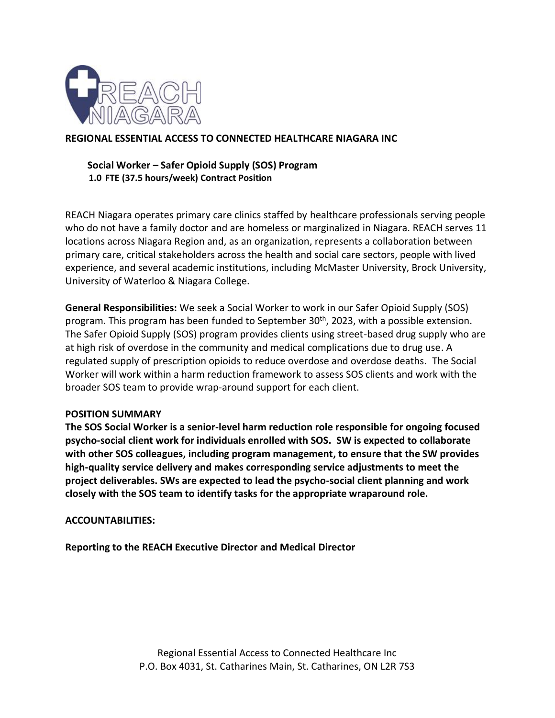

## **REGIONAL ESSENTIAL ACCESS TO CONNECTED HEALTHCARE NIAGARA INC**

## **Social Worker – Safer Opioid Supply (SOS) Program 1.0 FTE (37.5 hours/week) Contract Position**

REACH Niagara operates primary care clinics staffed by healthcare professionals serving people who do not have a family doctor and are homeless or marginalized in Niagara. REACH serves 11 locations across Niagara Region and, as an organization, represents a collaboration between primary care, critical stakeholders across the health and social care sectors, people with lived experience, and several academic institutions, including McMaster University, Brock University, University of Waterloo & Niagara College.

**General Responsibilities:** We seek a Social Worker to work in our Safer Opioid Supply (SOS) program. This program has been funded to September 30<sup>th</sup>, 2023, with a possible extension. The Safer Opioid Supply (SOS) program provides clients using street-based drug supply who are at high risk of overdose in the community and medical complications due to drug use. A regulated supply of prescription opioids to reduce overdose and overdose deaths. The Social Worker will work within a harm reduction framework to assess SOS clients and work with the broader SOS team to provide wrap-around support for each client.

#### **POSITION SUMMARY**

**The SOS Social Worker is a senior-level harm reduction role responsible for ongoing focused psycho-social client work for individuals enrolled with SOS. SW is expected to collaborate with other SOS colleagues, including program management, to ensure that the SW provides high-quality service delivery and makes corresponding service adjustments to meet the project deliverables. SWs are expected to lead the psycho-social client planning and work closely with the SOS team to identify tasks for the appropriate wraparound role.** 

#### **ACCOUNTABILITIES:**

**Reporting to the REACH Executive Director and Medical Director**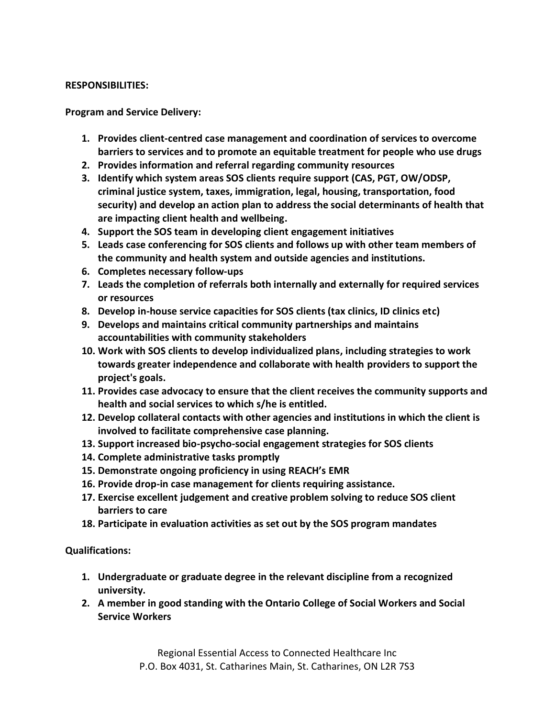### **RESPONSIBILITIES:**

**Program and Service Delivery:**

- **1. Provides client-centred case management and coordination of services to overcome barriers to services and to promote an equitable treatment for people who use drugs**
- **2. Provides information and referral regarding community resources**
- **3. Identify which system areas SOS clients require support (CAS, PGT, OW/ODSP, criminal justice system, taxes, immigration, legal, housing, transportation, food security) and develop an action plan to address the social determinants of health that are impacting client health and wellbeing.**
- **4. Support the SOS team in developing client engagement initiatives**
- **5. Leads case conferencing for SOS clients and follows up with other team members of the community and health system and outside agencies and institutions.**
- **6. Completes necessary follow-ups**
- **7. Leads the completion of referrals both internally and externally for required services or resources**
- **8. Develop in-house service capacities for SOS clients (tax clinics, ID clinics etc)**
- **9. Develops and maintains critical community partnerships and maintains accountabilities with community stakeholders**
- **10. Work with SOS clients to develop individualized plans, including strategies to work towards greater independence and collaborate with health providers to support the project's goals.**
- **11. Provides case advocacy to ensure that the client receives the community supports and health and social services to which s/he is entitled.**
- **12. Develop collateral contacts with other agencies and institutions in which the client is involved to facilitate comprehensive case planning.**
- **13. Support increased bio-psycho-social engagement strategies for SOS clients**
- **14. Complete administrative tasks promptly**
- **15. Demonstrate ongoing proficiency in using REACH's EMR**
- **16. Provide drop-in case management for clients requiring assistance.**
- **17. Exercise excellent judgement and creative problem solving to reduce SOS client barriers to care**
- **18. Participate in evaluation activities as set out by the SOS program mandates**

**Qualifications:**

- **1. Undergraduate or graduate degree in the relevant discipline from a recognized university.**
- **2. A member in good standing with the Ontario College of Social Workers and Social Service Workers**

Regional Essential Access to Connected Healthcare Inc P.O. Box 4031, St. Catharines Main, St. Catharines, ON L2R 7S3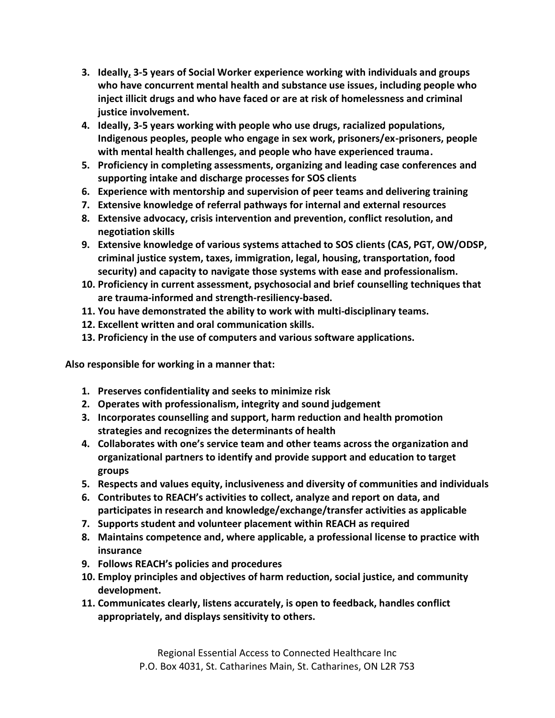- **3. Ideally, 3-5 years of Social Worker experience working with individuals and groups who have concurrent mental health and substance use issues, including people who inject illicit drugs and who have faced or are at risk of homelessness and criminal justice involvement.**
- **4. Ideally, 3-5 years working with people who use drugs, racialized populations, Indigenous peoples, people who engage in sex work, prisoners/ex-prisoners, people with mental health challenges, and people who have experienced trauma.**
- **5. Proficiency in completing assessments, organizing and leading case conferences and supporting intake and discharge processes for SOS clients**
- **6. Experience with mentorship and supervision of peer teams and delivering training**
- **7. Extensive knowledge of referral pathways for internal and external resources**
- **8. Extensive advocacy, crisis intervention and prevention, conflict resolution, and negotiation skills**
- **9. Extensive knowledge of various systems attached to SOS clients (CAS, PGT, OW/ODSP, criminal justice system, taxes, immigration, legal, housing, transportation, food security) and capacity to navigate those systems with ease and professionalism.**
- **10. Proficiency in current assessment, psychosocial and brief counselling techniques that are trauma-informed and strength-resiliency-based.**
- **11. You have demonstrated the ability to work with multi-disciplinary teams.**
- **12. Excellent written and oral communication skills.**
- **13. Proficiency in the use of computers and various software applications.**

**Also responsible for working in a manner that:** 

- **1. Preserves confidentiality and seeks to minimize risk**
- **2. Operates with professionalism, integrity and sound judgement**
- **3. Incorporates counselling and support, harm reduction and health promotion strategies and recognizes the determinants of health**
- **4. Collaborates with one's service team and other teams across the organization and organizational partners to identify and provide support and education to target groups**
- **5. Respects and values equity, inclusiveness and diversity of communities and individuals**
- **6. Contributes to REACH's activities to collect, analyze and report on data, and participates in research and knowledge/exchange/transfer activities as applicable**
- **7. Supports student and volunteer placement within REACH as required**
- **8. Maintains competence and, where applicable, a professional license to practice with insurance**
- **9. Follows REACH's policies and procedures**
- **10. Employ principles and objectives of harm reduction, social justice, and community development.**
- **11. Communicates clearly, listens accurately, is open to feedback, handles conflict appropriately, and displays sensitivity to others.**